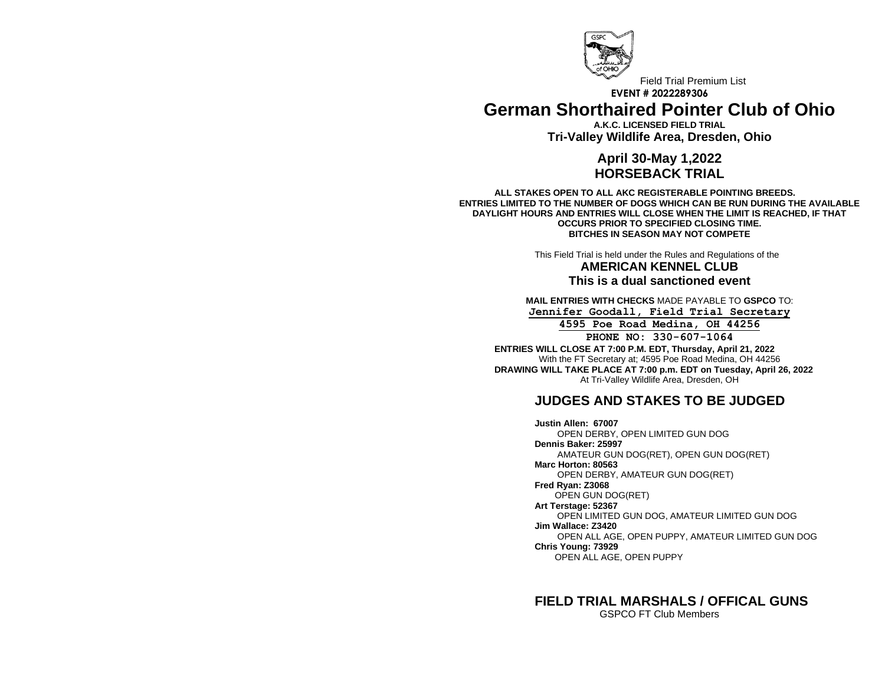

## Field Trial Premium List **EVENT # 2022289306 German Shorthaired Pointer Club of Ohio**

**A.K.C. LICENSED FIELD TRIAL Tri-Valley Wildlife Area, Dresden, Ohio**

## **April 30-May 1,2022 HORSEBACK TRIAL**

**ALL STAKES OPEN TO ALL AKC REGISTERABLE POINTING BREEDS. ENTRIES LIMITED TO THE NUMBER OF DOGS WHICH CAN BE RUN DURING THE AVAILABLE DAYLIGHT HOURS AND ENTRIES WILL CLOSE WHEN THE LIMIT IS REACHED, IF THAT OCCURS PRIOR TO SPECIFIED CLOSING TIME. BITCHES IN SEASON MAY NOT COMPETE**

> This Field Trial is held under the Rules and Regulations of the **AMERICAN KENNEL CLUB This is a dual sanctioned event**

**MAIL ENTRIES WITH CHECKS** MADE PAYABLE TO **GSPCO** TO: **Jennifer Goodall, Field Trial Secretary 4595 Poe Road Medina, OH 44256 PHONE NO: 330-607-1064**

**ENTRIES WILL CLOSE AT 7:00 P.M. EDT, Thursday, April 21, 2022** With the FT Secretary at; 4595 Poe Road Medina, OH 44256 **DRAWING WILL TAKE PLACE AT 7:00 p.m. EDT on Tuesday, April 26, 2022** At Tri-Valley Wildlife Area, Dresden, OH

# **JUDGES AND STAKES TO BE JUDGED**

**Justin Allen: 67007** OPEN DERBY, OPEN LIMITED GUN DOG **Dennis Baker: 25997** AMATEUR GUN DOG(RET), OPEN GUN DOG(RET) **Marc Horton: 80563** OPEN DERBY, AMATEUR GUN DOG(RET) **Fred Ryan: Z3068** OPEN GUN DOG(RET) **Art Terstage: 52367** OPEN LIMITED GUN DOG, AMATEUR LIMITED GUN DOG **Jim Wallace: Z3420** OPEN ALL AGE, OPEN PUPPY, AMATEUR LIMITED GUN DOG **Chris Young: 73929** OPEN ALL AGE, OPEN PUPPY

**FIELD TRIAL MARSHALS / OFFICAL GUNS** GSPCO FT Club Members